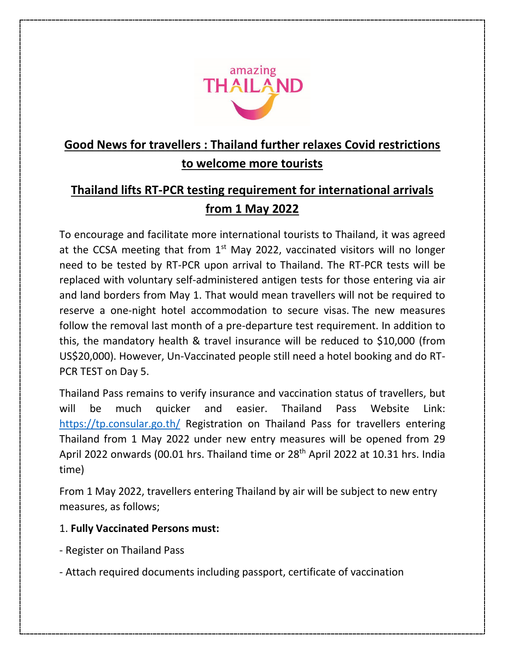

## **Good News for travellers : Thailand further relaxes Covid restrictions to welcome more tourists**

## **Thailand lifts RT-PCR testing requirement for international arrivals from 1 May 2022**

To encourage and facilitate more international tourists to Thailand, it was agreed at the CCSA meeting that from  $1<sup>st</sup>$  May 2022, vaccinated visitors will no longer need to be tested by RT-PCR upon arrival to Thailand. The RT-PCR tests will be replaced with voluntary self-administered antigen tests for those entering via air and land borders from May 1. That would mean travellers will not be required to reserve a one-night hotel accommodation to secure visas. The new measures follow the removal last month of a pre-departure test requirement. In addition to this, the mandatory health & travel insurance will be reduced to \$10,000 (from US\$20,000). However, Un-Vaccinated people still need a hotel booking and do RT-PCR TEST on Day 5.

Thailand Pass remains to verify insurance and vaccination status of travellers, but will be much quicker and easier. Thailand Pass Website Link: <https://tp.consular.go.th/> Registration on Thailand Pass for travellers entering Thailand from 1 May 2022 under new entry measures will be opened from 29 April 2022 onwards (00.01 hrs. Thailand time or 28<sup>th</sup> April 2022 at 10.31 hrs. India time)

From 1 May 2022, travellers entering Thailand by air will be subject to new entry measures, as follows;

## 1. **Fully Vaccinated Persons must:**

- Register on Thailand Pass
- Attach required documents including passport, certificate of vaccination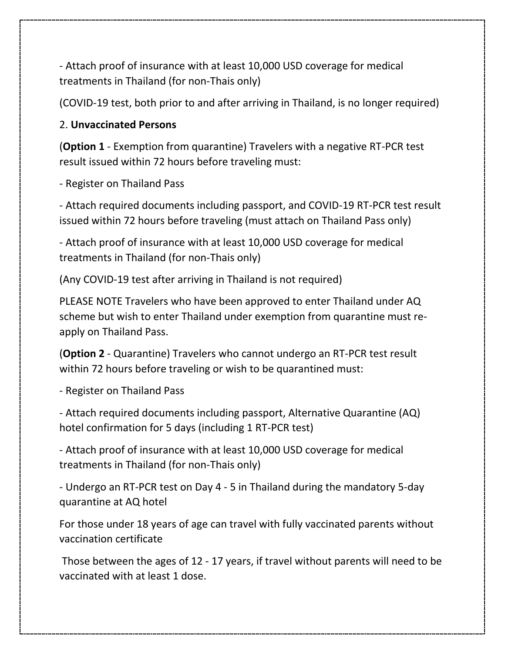- Attach proof of insurance with at least 10,000 USD coverage for medical treatments in Thailand (for non-Thais only)

(COVID-19 test, both prior to and after arriving in Thailand, is no longer required)

## 2. **Unvaccinated Persons**

(**Option 1** - Exemption from quarantine) Travelers with a negative RT-PCR test result issued within 72 hours before traveling must:

- Register on Thailand Pass

- Attach required documents including passport, and COVID-19 RT-PCR test result issued within 72 hours before traveling (must attach on Thailand Pass only)

- Attach proof of insurance with at least 10,000 USD coverage for medical treatments in Thailand (for non-Thais only)

(Any COVID-19 test after arriving in Thailand is not required)

PLEASE NOTE Travelers who have been approved to enter Thailand under AQ scheme but wish to enter Thailand under exemption from quarantine must reapply on Thailand Pass.

(**Option 2** - Quarantine) Travelers who cannot undergo an RT-PCR test result within 72 hours before traveling or wish to be quarantined must:

- Register on Thailand Pass

- Attach required documents including passport, Alternative Quarantine (AQ) hotel confirmation for 5 days (including 1 RT-PCR test)

- Attach proof of insurance with at least 10,000 USD coverage for medical treatments in Thailand (for non-Thais only)

- Undergo an RT-PCR test on Day 4 - 5 in Thailand during the mandatory 5-day quarantine at AQ hotel

For those under 18 years of age can travel with fully vaccinated parents without vaccination certificate

Those between the ages of 12 - 17 years, if travel without parents will need to be vaccinated with at least 1 dose.